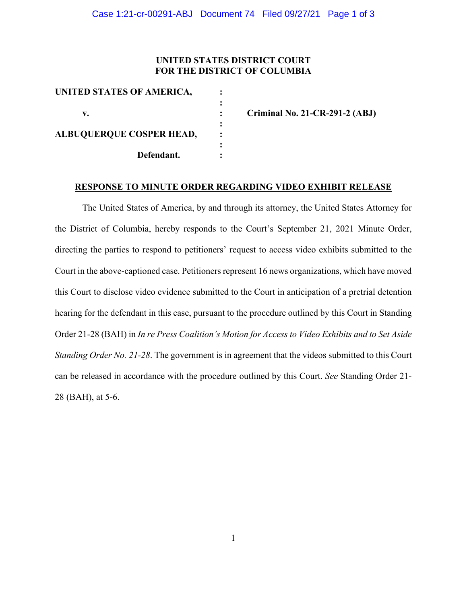## **UNITED STATES DISTRICT COURT FOR THE DISTRICT OF COLUMBIA**

| UNITED STATES OF AMERICA,       |  |
|---------------------------------|--|
|                                 |  |
| v.                              |  |
|                                 |  |
| <b>ALBUQUERQUE COSPER HEAD,</b> |  |
|                                 |  |
| Defendant.                      |  |
|                                 |  |

**v. : Criminal No. 21-CR-291-2 (ABJ)**

## **RESPONSE TO MINUTE ORDER REGARDING VIDEO EXHIBIT RELEASE**

The United States of America, by and through its attorney, the United States Attorney for the District of Columbia, hereby responds to the Court's September 21, 2021 Minute Order, directing the parties to respond to petitioners' request to access video exhibits submitted to the Court in the above-captioned case. Petitioners represent 16 news organizations, which have moved this Court to disclose video evidence submitted to the Court in anticipation of a pretrial detention hearing for the defendant in this case, pursuant to the procedure outlined by this Court in Standing Order 21-28 (BAH) in *In re Press Coalition's Motion for Access to Video Exhibits and to Set Aside Standing Order No. 21-28*. The government is in agreement that the videos submitted to this Court can be released in accordance with the procedure outlined by this Court. *See* Standing Order 21- 28 (BAH), at 5-6.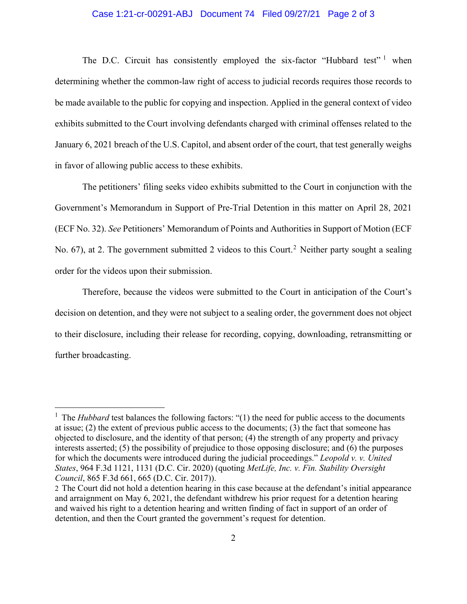## Case 1:21-cr-00291-ABJ Document 74 Filed 09/27/21 Page 2 of 3

The D.C. Circuit has consistently employed the six-factor "Hubbard test"  $1$  when determining whether the common-law right of access to judicial records requires those records to be made available to the public for copying and inspection. Applied in the general context of video exhibits submitted to the Court involving defendants charged with criminal offenses related to the January 6, 2021 breach of the U.S. Capitol, and absent order of the court, that test generally weighs in favor of allowing public access to these exhibits.

The petitioners' filing seeks video exhibits submitted to the Court in conjunction with the Government's Memorandum in Support of Pre-Trial Detention in this matter on April 28, 2021 (ECF No. 32). *See* Petitioners' Memorandum of Points and Authorities in Support of Motion (ECF No. 67), at 2. The government submitted 2 videos to this Court.<sup>2</sup> Neither party sought a sealing order for the videos upon their submission.

Therefore, because the videos were submitted to the Court in anticipation of the Court's decision on detention, and they were not subject to a sealing order, the government does not object to their disclosure, including their release for recording, copying, downloading, retransmitting or further broadcasting.

<sup>&</sup>lt;sup>1</sup> The *Hubbard* test balances the following factors: "(1) the need for public access to the documents at issue; (2) the extent of previous public access to the documents; (3) the fact that someone has objected to disclosure, and the identity of that person; (4) the strength of any property and privacy interests asserted; (5) the possibility of prejudice to those opposing disclosure; and (6) the purposes for which the documents were introduced during the judicial proceedings." *Leopold v. v. United States*, 964 F.3d 1121, 1131 (D.C. Cir. 2020) (quoting *MetLife, Inc. v. Fin. Stability Oversight Council*, 865 F.3d 661, 665 (D.C. Cir. 2017)).

<sup>2</sup> The Court did not hold a detention hearing in this case because at the defendant's initial appearance and arraignment on May 6, 2021, the defendant withdrew his prior request for a detention hearing and waived his right to a detention hearing and written finding of fact in support of an order of detention, and then the Court granted the government's request for detention.